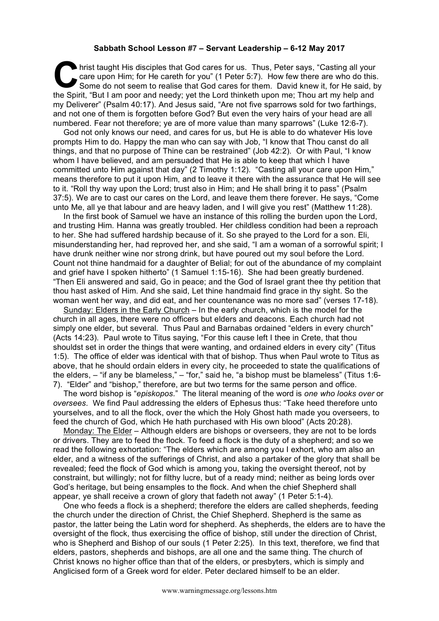## **Sabbath School Lesson #7 – Servant Leadership – 6-12 May 2017**

hrist taught His disciples that God cares for us. Thus, Peter says, "Casting all your care upon Him; for He careth for you" (1 Peter 5:7). How few there are who do this. Some do not seem to realise that God cares for them. David knew it, for He said, by It also had the Spirit, "But I am poor and needy; yet the Lord thinketh upon me; Thou art my help and the Spirit, "But I am poor and needy; yet the Lord thinketh upon me; Thou art my help and my Deliverer" (Psalm 40:17). And Jesus said, "Are not five sparrows sold for two farthings, and not one of them is forgotten before God? But even the very hairs of your head are all numbered. Fear not therefore; ye are of more value than many sparrows" (Luke 12:6-7).

God not only knows our need, and cares for us, but He is able to do whatever His love prompts Him to do. Happy the man who can say with Job, "I know that Thou canst do all things, and that no purpose of Thine can be restrained" (Job 42:2). Or with Paul, "I know whom I have believed, and am persuaded that He is able to keep that which I have committed unto Him against that day" (2 Timothy 1:12). "Casting all your care upon Him," means therefore to put it upon Him, and to leave it there with the assurance that He will see to it. "Roll thy way upon the Lord; trust also in Him; and He shall bring it to pass" (Psalm 37:5). We are to cast our cares on the Lord, and leave them there forever. He says, "Come unto Me, all ye that labour and are heavy laden, and I will give you rest" (Matthew 11:28).

In the first book of Samuel we have an instance of this rolling the burden upon the Lord, and trusting Him. Hanna was greatly troubled. Her childless condition had been a reproach to her. She had suffered hardship because of it. So she prayed to the Lord for a son. Eli, misunderstanding her, had reproved her, and she said, "I am a woman of a sorrowful spirit; I have drunk neither wine nor strong drink, but have poured out my soul before the Lord. Count not thine handmaid for a daughter of Belial; for out of the abundance of my complaint and grief have I spoken hitherto" (1 Samuel 1:15-16). She had been greatly burdened. "Then Eli answered and said, Go in peace; and the God of Israel grant thee thy petition that thou hast asked of Him. And she said, Let thine handmaid find grace in thy sight. So the woman went her way, and did eat, and her countenance was no more sad" (verses 17-18).

Sunday: Elders in the Early Church – In the early church, which is the model for the church in all ages, there were no officers but elders and deacons. Each church had not simply one elder, but several. Thus Paul and Barnabas ordained "elders in every church" (Acts 14:23). Paul wrote to Titus saying, "For this cause left I thee in Crete, that thou shouldst set in order the things that were wanting, and ordained elders in every city" (Titus 1:5). The office of elder was identical with that of bishop. Thus when Paul wrote to Titus as above, that he should ordain elders in every city, he proceeded to state the qualifications of the elders, – "if any be blameless," – "for," said he, "a bishop must be blameless" (Titus 1:6- 7). "Elder" and "bishop," therefore, are but two terms for the same person and office.

The word bishop is "*episkopos*." The literal meaning of the word is *one who looks over* or *oversees*. We find Paul addressing the elders of Ephesus thus: "Take heed therefore unto yourselves, and to all the flock, over the which the Holy Ghost hath made you overseers, to feed the church of God, which He hath purchased with His own blood" (Acts 20:28).

Monday: The Elder – Although elders are bishops or overseers, they are not to be lords or drivers. They are to feed the flock. To feed a flock is the duty of a shepherd; and so we read the following exhortation: "The elders which are among you I exhort, who am also an elder, and a witness of the sufferings of Christ, and also a partaker of the glory that shall be revealed; feed the flock of God which is among you, taking the oversight thereof, not by constraint, but willingly; not for filthy lucre, but of a ready mind; neither as being lords over God's heritage, but being ensamples to the flock. And when the chief Shepherd shall appear, ye shall receive a crown of glory that fadeth not away" (1 Peter 5:1-4).

One who feeds a flock is a shepherd; therefore the elders are called shepherds, feeding the church under the direction of Christ, the Chief Shepherd. Shepherd is the same as pastor, the latter being the Latin word for shepherd. As shepherds, the elders are to have the oversight of the flock, thus exercising the office of bishop, still under the direction of Christ, who is Shepherd and Bishop of our souls (1 Peter 2:25). In this text, therefore, we find that elders, pastors, shepherds and bishops, are all one and the same thing. The church of Christ knows no higher office than that of the elders, or presbyters, which is simply and Anglicised form of a Greek word for elder. Peter declared himself to be an elder.